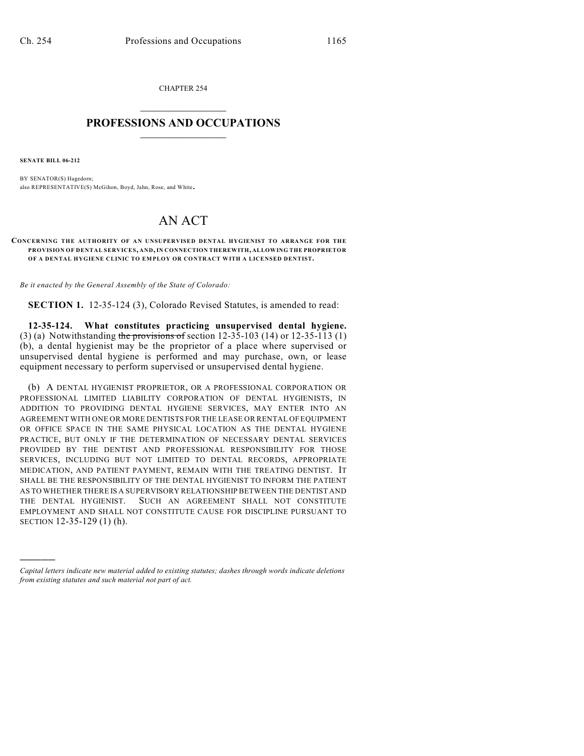CHAPTER 254  $\overline{\phantom{a}}$  . The set of the set of the set of the set of the set of the set of the set of the set of the set of the set of the set of the set of the set of the set of the set of the set of the set of the set of the set o

## **PROFESSIONS AND OCCUPATIONS**  $\frac{1}{2}$  ,  $\frac{1}{2}$  ,  $\frac{1}{2}$  ,  $\frac{1}{2}$  ,  $\frac{1}{2}$  ,  $\frac{1}{2}$

**SENATE BILL 06-212**

)))))

BY SENATOR(S) Hagedorn; also REPRESENTATIVE(S) McGihon, Boyd, Jahn, Rose, and White.

## AN ACT

## **CONCERNING THE AUTHORITY OF AN UNSUPERVISED DENTAL HYGIENIST TO ARRANGE FOR THE PROVISION OF DENTAL SERVICES, AND, IN CONNECTION THEREWITH, ALLOWING THE PROPRIETOR OF A DENTAL HYGIENE CLINIC TO EM PLOY OR CONTRACT WITH A LICENSED DENTIST.**

*Be it enacted by the General Assembly of the State of Colorado:*

**SECTION 1.** 12-35-124 (3), Colorado Revised Statutes, is amended to read:

**12-35-124. What constitutes practicing unsupervised dental hygiene.** (3) (a) Notwithstanding the provisions of section 12-35-103 (14) or 12-35-113 (1) (b), a dental hygienist may be the proprietor of a place where supervised or unsupervised dental hygiene is performed and may purchase, own, or lease equipment necessary to perform supervised or unsupervised dental hygiene.

(b) A DENTAL HYGIENIST PROPRIETOR, OR A PROFESSIONAL CORPORATION OR PROFESSIONAL LIMITED LIABILITY CORPORATION OF DENTAL HYGIENISTS, IN ADDITION TO PROVIDING DENTAL HYGIENE SERVICES, MAY ENTER INTO AN AGREEMENT WITH ONE OR MORE DENTISTS FOR THE LEASE OR RENTAL OF EQUIPMENT OR OFFICE SPACE IN THE SAME PHYSICAL LOCATION AS THE DENTAL HYGIENE PRACTICE, BUT ONLY IF THE DETERMINATION OF NECESSARY DENTAL SERVICES PROVIDED BY THE DENTIST AND PROFESSIONAL RESPONSIBILITY FOR THOSE SERVICES, INCLUDING BUT NOT LIMITED TO DENTAL RECORDS, APPROPRIATE MEDICATION, AND PATIENT PAYMENT, REMAIN WITH THE TREATING DENTIST. IT SHALL BE THE RESPONSIBILITY OF THE DENTAL HYGIENIST TO INFORM THE PATIENT AS TO WHETHER THERE IS A SUPERVISORY RELATIONSHIP BETWEEN THE DENTIST AND THE DENTAL HYGIENIST. SUCH AN AGREEMENT SHALL NOT CONSTITUTE EMPLOYMENT AND SHALL NOT CONSTITUTE CAUSE FOR DISCIPLINE PURSUANT TO SECTION 12-35-129 (1) (h).

*Capital letters indicate new material added to existing statutes; dashes through words indicate deletions from existing statutes and such material not part of act.*